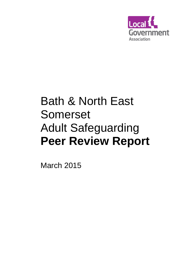

# Bath & North East Somerset Adult Safeguarding **Peer Review Report**

March 2015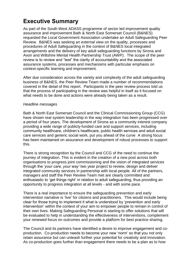## **Executive Summary**

As part of the South West ADASS programme of sector led improvement quality assurance and improvement Bath & North East Somerset Council (B&NES) requested the Local Government Association undertake an Adult Safeguarding Peer Review. B&NES was seeking an external view on the quality, processes and procedures of Adult Safeguarding in the context of B&NES local integrated arrangements and the delivery of key adult safeguarding functions by Sirona and Avon and Wiltshire Mental Health Partnership Trust (AWP). The scope of the peer review is to review and "test" the clarity of accountability and the associated assurance systems, processes and mechanisms with particular emphasis on context-specific learning and improvement.

After due consideration across the variety and complexity of the adult safeguarding business of B&NES, the Peer Review Team made a number of recommendations covered in the detail of this report. Participants in the peer review process told us that the process of participating in the review was helpful in itself as it focused on what needs to be done and actions were already being taken as a result.

#### *Headline messages*

Bath & North East Somerset Council and the Clinical Commissioning Group (CCG) have shown real system leadership in the way integration has been progressed over a period of four years. The development of Sirona as a community interest company providing a wide range of publicly-funded care and support services, including community healthcare, children's healthcare, public health services and adult social care services and generic social work, put you ahead of the curve A strong focus has been maintained on assurance and development of robust processes to support this.

There is strong recognition by the Council and CCG of the need to continue the journey of integration. This is evident in the creation of a new post across both organisations to progress joint commissioning and the vision of integrated services through the '*your care, your way'* two year project to review, design and deliver integrated community services in partnership with local people. All of the partners, managers and staff the Peer Review Team met are clearly committed and enthusiastic to 'get things right' in relation to adult safeguarding, thus providing an opportunity to progress integration at all levels - and with some pace.

There is a real importance to ensure the safeguarding prevention and early intervention narrative is 'live' for citizens and practitioners. This would include being clear for those trying to implement it what is understood by 'prevention and early intervention' within the context of your aim to empower people to remain in control of their own lives. Making Safeguarding Personal is starting to offer solutions that will be evaluated to help in understanding the effectiveness of interventions, complement your renewed focus on outcomes and provide a platform for best practice sharing.

The Council and its partners have identified a desire to improve engagement and coproduction. Co-production needs to become your new 'norm' so that you not only retain assurance but can unleash further your potential for creativity and innovation. As co-production goes further than engagement there needs to be a plan as to how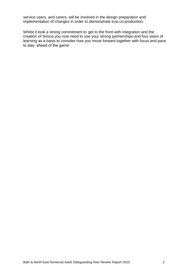service users, and carers, will be involved in the design preparation and implementation of changes in order to demonstrate true co-production.

Whilst it took a strong commitment to get to the front with integration and the creation of Sirona you now need to use your strong partnerships and four years of learning as a basis to consider how you move forward together with focus and pace to stay 'ahead of the game'.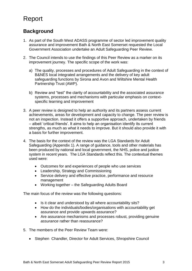# Report

## **Background**

- 1. As part of the South West ADASS programme of sector led improvement quality assurance and improvement Bath & North East Somerset requested the Local Government Association undertake an Adult Safeguarding Peer Review.
- 2. The Council intends to use the findings of this Peer Review as a marker on its improvement journey. The specific scope of the work was:
	- a) The quality, processes and procedures of Adult Safeguarding in the context of B&NES local integrated arrangements and the delivery of key adult safeguarding functions by Sirona and Avon and Wiltshire Mental Health Partnership Trust (AWP).
	- b) Review and "test" the clarity of accountability and the associated assurance systems, processes and mechanisms with particular emphasis on contextspecific learning and improvement
- 3. A peer review is designed to help an authority and its partners assess current achievements, areas for development and capacity to change. The peer review is not an inspection. Instead it offers a supportive approach, undertaken by friends – albeit 'critical friends'. It aims to help an organisation identify its current strengths, as much as what it needs to improve. But it should also provide it with a basis for further improvement.
- 4. The basis for the context of the review was the LGA Standards for Adult Safeguarding (Appendix 1). A range of guidance, tools and other materials has been produced by national and local government, the NHS, police and justice system in recent years. The LGA Standards reflect this. The contextual themes used were:
	- Outcomes for and experiences of people who use services
	- Leadership, Strategy and Commissioning
	- Service delivery and effective practice, performance and resource management
	- Working together the Safeguarding Adults Board

The main focus of the review was the following questions:

- Is it clear and understood by all where accountability sits?
- How do the individuals/bodies/organisations with accountability get assurance and provide upwards assurance?
- Are assurance mechanisms and processes robust, providing genuine *assurance* rather than reassurance?
- 5. The members of the Peer Review Team were:
	- Stephen Chandler, Director for Adult Services, Shropshire Council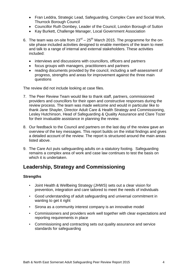- Fran Leddra, Strategic Lead, Safeguarding, Complex Care and Social Work, Thurrock Borough Council
- Councillor Ruth Dombey, Leader of the Council, London Borough of Sutton
- Kay Burkett, Challenge Manager, Local Government Association
- 6. The team was on-site from  $23<sup>rd</sup> 25<sup>th</sup>$  March 2015. The programme for the onsite phase included activities designed to enable members of the team to meet and talk to a range of internal and external stakeholders. These activities included:
	- interviews and discussions with councillors, officers and partners
	- focus groups with managers, practitioners and partners
	- reading documents provided by the council, including a self-assessment of progress, strengths and areas for improvement against the three main questions

The review did not include looking at case files.

- 7. The Peer Review Team would like to thank staff, partners, commissioned providers and councillors for their open and constructive responses during the review process. The team was made welcome and would in particular like to thank Jane Shayler, Director Adult Care & Health Strategy and Commissioning, Lesley Hutchinson, Head of Safeguarding & Quality Assurance and Clare Tozer for their invaluable assistance in planning the review.
- 8. Our feedback to the Council and partners on the last day of the review gave an overview of the key messages. This report builds on the initial findings and gives a detailed account of the review. The report is structured around the main areas listed above.
- 9. The Care Act puts safeguarding adults on a statutory footing. Safeguarding remains a complex area of work and case law continues to test the basis on which it is undertaken.

## **Leadership, Strategy and Commissioning**

#### **Strengths**

- Joint Health & Wellbeing Strategy (JHWS) sets out a clear vision for prevention, integration and care tailored to meet the needs of individuals
- Good understanding of adult safeguarding and universal commitment in wanting to get it right
- Sirona as a community interest company is an innovative model
- Commissioners and providers work well together with clear expectations and reporting requirements in place
- Commissioning and contracting sets out quality assurance and service standards for safeguarding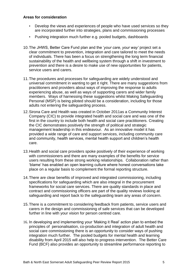- Develop the views and experiences of people who have used services so they are incorporated further into strategies, plans and commissioning processes
- Pushing integration much further e.g. pooled budgets, dashboards
- 10.The JHWS, Better Care Fund plan and the '*your care, your way'* project set a clear commitment to prevention, integration and care tailored to meet the needs of individuals. There has been a focus on strengthening the long term financial sustainability of the health and wellbeing system through a shift in investment to prevention and there is a desire to make use of new opportunities for patients, service users and carers.
- 11.The procedures and processes for safeguarding are widely understood and universal commitment in wanting to get it right. There are many suggestions from practitioners and providers about ways of improving the response to adults experiencing abuse, as well as ways of supporting carers and wider family members. Ways of harnessing these suggestions whilst Making Safeguarding Personal (MSP) is being piloted should be a consideration, including for those adults not entering the safeguarding process.
- 12.Sirona Care and Health was created in October 2011as a Community Interest Company (CIC) to provide integrated health and social care and was one of the first in the country to include both health and social care practitioners. Creating the CIC demonstrates positively the strength of political and strategic management leadership in this endeavour. As an innovative model it has provided a wide range of care and support services, including community care and community, health services, mental health support and children's health care.
- 13.Health and social care providers spoke positively of their experience of working with commissioners and there are many examples of the benefits for service users resulting from these strong working relationships. Collaboration rather than 'blame' has enabled an open learning culture where honest conversations take place on a regular basis to complement the formal reporting structure.
- 14.There are clear benefits of improved and integrated commissioning, including specifications for safeguarding which are also integral in the procurement frameworks for social care services. There are quality standards in place and contract and commissioning officers are part of the quality reviews looking at safeguarding and report back to the safeguarding team any areas of concern.
- 15.There is a commitment to considering feedback from patients, service users and carers in the design and commissioning of safe services that can be developed further in line with your vision for person centred care.
- 16. In developing and implementing your 'Making it Real' action plan to embed the principles of personalisation, co-production and integration of adult health and social care commissioning there is an opportunity to consider ways of pushing integration much further. The pooled budgets for mental health and learning disability from April 2015 will also help to progress intervention. The Better Care Fund (BCF) also provides an opportunity to streamline performance reporting to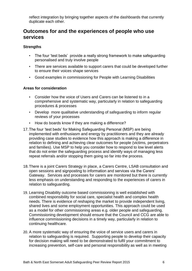reflect integration by bringing together aspects of the dashboards that currently duplicate each other.

## **Outcomes for and the experiences of people who use services**

#### **Strengths**

- The four 'test beds' provide a really strong framework to make safeguarding personalised and truly involve people
- There are services available to support carers that could be developed further to ensure their voices shape services
- Good examples in commissioning for People with Learning Disabilities

- Consider how the voice of Users and Carers can be listened to in a comprehensive and systematic way, particularly in relation to safeguarding procedures & processes
- Develop more qualitative understanding of safeguarding to inform regular reviews of your processes
- How do boards know if they are making a difference?
- 17.The four 'test beds' for Making Safeguarding Personal (MSP) are being implemented with enthusiasm and energy by practitioners and they are already providing case studies to evidence how this approach is making a difference in relation to defining and achieving clear outcomes for people (victims, perpetrators and families). Use MSP to help you consider how to respond to low level alerts that do not enter the safeguarding process and identify ways of managing less repeat referrals and/or stopping them going so far into the process.
- 18.There is a joint Carers Strategy in place, a Carers Centre, LSAB consultation and open sessions and signposting to information and services via the Carers' Gateway. Services and processes for carers are monitored but there is currently less emphasis on understanding and responding to the experiences of carers in relation to safeguarding.
- 19. Learning Disability outcome based commissioning is well established with combined responsibility for social care, specialist health and complex health needs. There is evidence of reshaping the market to provide independent living, shared lives and some employment opportunities. This approach could be used as a model for other commissioning areas e.g. older people and safeguarding. Commissioning development should ensure that the Council and CCG are able to influence commissioning decisions in a timely way, particularly in relation to continuing healthcare.
- 20. A more systematic way of ensuring the voice of service users and carers in relation to safeguarding is required. Supporting people to develop their capacity for decision making will need to be demonstrated to fulfil your commitment to increasing prevention, self-care and personal responsibility as well as in meeting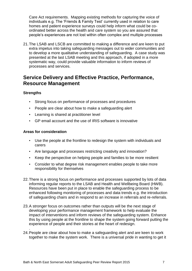Care Act requirements. Mapping existing methods for capturing the voice of individuals e.g. The 'Friends & Family Test' currently used in relation to care homes and patient experience surveys could help inform what could be coordinated better across the health and care system so you are assured that people's experiences are not lost within often complex and multiple processes

21.The LSAB and LSCB are committed to making a difference and are keen to put extra impetus into taking safeguarding messages out to wider communities and to develop a more qualitative understanding of safeguarding. A case study was presented at the last LSAB meeting and this approach, if adopted in a more systematic way, could provide valuable information to inform reviews of processes and services.

## **Service Delivery and Effective Practice, Performance, Resource Management**

#### **Strengths**

.

- Strong focus on performance of processes and procedures
- People are clear about how to make a safeguarding alert
- Learning is shared at practitioner level
- GP email account and the use of IRIS software is innovative

- Use the people at the frontline to redesign the system with individuals and carers
- Are language and processes restricting creativity and innovation?
- Keep the perspective on helping people and families to be more resilient
- Consider to what degree risk management enables people to take more responsibility for themselves
- 22.There is a strong focus on performance and processes supported by lots of data informing regular reports to the LSAB and Health and Wellbeing Board (HWB). Resources have been put in place to enable the safeguarding process to be enhanced following monitoring of processes and data trends e.g. the introduction of safeguarding chairs and in respond to an increase in referrals and re-referrals.
- 23.A stronger focus on outcomes rather than outputs will be the next stage of developing your performance management framework to help evaluate the impact of interventions and inform reviews of the safeguarding system. Enhance this by using people at the frontline to shape the system going forward putting the experience of people and their stories at the heart of redesign.
- 24.People are clear about how to make a safeguarding alert and are keen to work together to make the system work. There is a universal pride in wanting to get it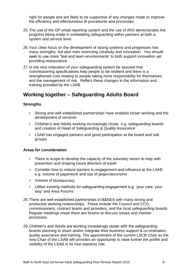right for people and are likely to be supportive of any changes made to improve the efficiency and effectiveness of procedures and processes.

- 25.The use of the GP email reporting system and the use of IRIS demonstrates the progress being made in embedding safeguarding within partners at both a system and service level.
- 26.Your clear focus on the development of strong systems and progresses has many strengths, but also risks restricting creativity and innovation. You should seek to use more "test and learn environments' to both support innovation yet providing reassurance.
- 27.In the next reiteration of your safeguarding system be assured that commissioning specifications help people to be resilient and there is a strengthened core relating to people taking more responsibility for themselves and the management of risk. Reflect these changes in the information and training provided by the LSAB.

## **Working together – Safeguarding Adults Board**

#### **Strengths**

- Strong and well established partnerships have enabled closer working and the development of services
- Children's and Adults working increasingly closer e.g. safeguarding boards and creation of Head of Safeguarding & Quality Assurance
- LSAB has engaged partners and good participation at the board and sub groups

- There is scope to develop the capacity of the voluntary sector to help with prevention and shaping future direction of travel
- Consider how to reduce barriers to engagement and influence at the LSAB e.g. volume of paperwork and use of jargon/acronyms
- Volume of bureaucracy
- Utilise existing methods for safeguarding engagement e.g. 'your care, your way' and Area Forums
- 28.There are well established partnerships in B&NES with many strong and productive working relationships. These include the Council and CCG, commissioners, contract teams and providers, and the local safeguarding boards. Regular meetings mean there are forums to discuss issues and monitor processes.
- 29.Children's and Adults are working increasingly closer with the safeguarding boards planning to share and/or integrate their business support & co-ordination, quality assurance and training. The appointment of the current LSCB Chair as the new Chair of the LSAB will provides an opportunity to raise further the profile and visibility of the LSAB in its new statutory role.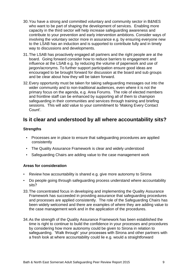- 30.You have a strong and committed voluntary and community sector in B&NES who want to be part of shaping the development of services. Enabling more capacity in the third sector will help increase safeguarding awareness and contribute to your prevention and early intervention ambitions. Consider ways of involving the voluntary sector more in assurance e.g. by ensuring everyone new to the LSAB has an induction and is supported to contribute fully and in timely way to discussions and developments.
- 31.The LSAB has proactively engaged all partners and the right people are at the board. Going forward consider how to reduce barriers to engagement and influence at the LSAB e.g. by reducing the volume of paperwork and use of jargon/acronyms. To further support participation ensure good ideas are encouraged to be brought forward for discussion at the board and sub groups and be clear about how they will be taken forward.
- 32.Every opportunity must be taken for taking safeguarding messages out into the wider community and to non-traditional audiences, even where it is not the primary focus on the agenda, e.g. Area Forums. The role of elected members and frontline staff can be enhanced by supporting all of them to champion safeguarding in their communities and services through training and briefing sessions. This will add value to your commitment to 'Making Every Contact Count'.

## **Is it clear and understood by all where accountability sits?**

#### **Strengths**

- Processes are in place to ensure that safeguarding procedures are applied consistently
- The Quality Assurance Framework is clear and widely understood
- Safeguarding Chairs are adding value to the case management work

- Review how accountability is shared e.g. give more autonomy to Sirona
- Do people going through safeguarding process understand where accountability sits?
- 33.The concentrated focus in developing and implementing the Quality Assurance Framework has succeeded in providing assurance that safeguarding procedures and processes are applied consistently. The role of the Safeguarding Chairs has been widely welcomed and there are examples of where they are adding value to the case management work and in the application of the procedures.
- 34.As the strength of the Quality Assurance Framework has been established the time is right to continue to build the confidence in your processes and procedures by considering how more autonomy could be given to Sirona in relation to safeguarding. 'Walk through' your processes with Sirona and other partners with a fresh look at where accountability could lie e.g. would a straightforward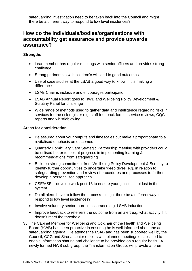safeguarding investigation need to be taken back into the Council and might there be a different way to respond to low level incidences?

## **How do the individuals/bodies/organisations with accountability get assurance and provide upwards assurance?**

#### **Strengths**

- Lead member has regular meetings with senior officers and provides strong challenge
- Strong partnership with children's will lead to good outcomes
- Use of case studies at the LSAB a good way to know if it is making a difference
- LSAB Chair is inclusive and encourages participation
- LSAB Annual Report goes to HWB and Wellbeing Policy Development & Scrutiny Panel for challenge
- Wide range of methods used to gather data and intelligence regarding risks in services for the risk register e.g. staff feedback forms, service reviews, CQC reports and whistleblowing

- Be assured about your outputs and timescales but make it proportionate to a revitalised emphasis on outcomes
- Quarterly Domiciliary Care Strategic Partnership meeting with providers could be utilised better to look at progress in implementing learning & recommendations from safeguarding
- Build on strong commitment from Wellbeing Policy Development & Scrutiny to identify further opportunities to undertake 'deep dives' e.g. in relation to safeguarding prevention and review of procedures and processes to further develop a personalised approach
- CSE/ASE develop work post 18 to ensure young child is not lost in the system
- Do all alerts have to follow the process might there be a different way to respond to low level incidences?
- Involve voluntary sector more in assurance e.g. LSAB induction
- Improve feedback to referrers the outcome from an alert e.g. what activity if it doesn't meet the threshold
- 35.The Cabinet Member for Wellbeing and Co-chair of the Health and Wellbeing Board (HWB) has been proactive in ensuring he is well informed about the adult safeguarding agenda. He attends the LSAB and has been supported well by the Council, CCG and Sirona senior officers with planned meetings established to enable information sharing and challenge to be provided on a regular basis. A newly formed HWB sub group, the Transformation Group, will provide a forum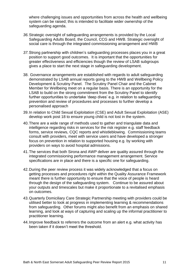where challenging issues and opportunities from across the health and wellbeing system can be raised; this is intended to facilitate wider ownership of the safeguarding agenda.

- *36.*Strategic oversight of safeguarding arrangements is provided by the Local Safeguarding Adults Board, the Council, CCG and HWB. Strategic oversight of social care is through the integrated commissioning arrangement and HWB
- *37.*Strong partnership with children's safeguarding processes places you in a great position to support good outcomes. It is important that the opportunities for greater effectiveness and efficiencies though the review of LSAB subgroups gives a place to start the next stage in safeguarding development.
- 38. Governance arrangements are established with regards to adult safeguarding demonstrated by LSAB annual reports going to the HWB and Wellbeing Policy Development & Scrutiny Panel. The Scrutiny Panel Chair and the Cabinet Member for Wellbeing meet on a regular basis. There is an opportunity for the LSAB to build on the strong commitment from the Scrutiny Panel to identify further opportunities to undertake 'deep dives' e.g. in relation to safeguarding prevention and review of procedures and processes to further develop a personalised approach
- 39.In relation to Child Sexual Exploitation (CSE) and Adult Sexual Exploitation (ASE) develop work post 18 to ensure young child is not lost in the system.
- 40.There are a wide range of methods used to gather and triangulate data and intelligence regarding risks in services for the risk register e.g. staff feedback forms, service reviews, CQC reports and whistleblowing. Commissioning teams consult with providers, meet with service users and have developed a stronger focus on prevention in relation to supported housing e.g. by working with providers on ways to avoid hospital admissions.
- 41.The services that both Sirona and AWP deliver are quality assured through the integrated commissioning performance management arrangement. Service specifications are in place and there is a specific one for safeguarding.
- 42.During the peer review process it was widely acknowledged that a focus on getting processes and procedures right within the Quality Assurance Framework meant there is further opportunity to ensure that the voice of people is heard through the design of the safeguarding system. Continue to be assured about your outputs and timescales but make it proportionate to a revitalised emphasis on outcomes.
- 43.Quarterly Domiciliary Care Strategic Partnership meeting with providers could be utilised better to look at progress in implementing learning & recommendations from safeguarding. Other forums might also benefit from an emphasis on shared learning, and look at ways of capturing and scaling up the informal practitioner to practitioner learning.
- 44.Improve feedback to referrers the outcome from an alert e.g. what activity has been taken if it doesn't meet the threshold.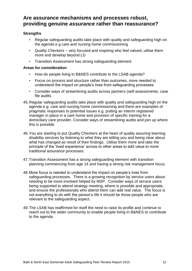## **Are assurance mechanisms and processes robust, providing genuine** *assurance* **rather than reassurance?**

#### **Strengths**

- Regular safeguarding audits take place with quality and safeguarding high on the agenda e.g care and nursing home commissioning
- Quality Checkers very focused and inspiring who feel valued, utilise them more and develop beyond LD
- Transition Assessment has strong safeguarding element

- How do people living in B&NES contribute to the LSAB agenda?
- Focus on process and structure rather than outcomes, more needed to understand the impact on people's lives from safeguarding processes
- Consider ways of streamlining audits across partners (self-assessments, case file audits
- 45.Regular safeguarding audits take place with quality and safeguarding high on the agenda e.g. care and nursing home commissioning and there are examples of pragmatic responses to potential issues e.g. putting an interim registered manager in place in a care home and provision of specific training for a domiciliary care provider. Consider ways of streamlining audits and join up where this is possible.
- 46.You are starting to put Quality Checkers at the heart of quality assuring learning disability services by listening to what they are telling you and being clear about what has changed as result of their findings. Utilise them more and take the principle of the 'lived experience' across to other areas to add value to more traditional assurance processes.
- 47.Transition Assessment has a strong safeguarding element with transition planning commencing from age 14 and having a strong risk management focus.
- 48.More focus is needed to understand the impact on people's lives from safeguarding processes. There is a growing recognition by service users about needing to be more involved helped by MSP. Consider ways of service users being supported to attend strategy meeting, where is possible and appropriate, and ensure the professionals who attend them can add real value. The focus is not everything to do with the person's life it should be those people who are relevant to the safeguarding aspect.
- 49.The LSAB has reaffirmed for itself the need to raise its profile and continue to reach out to the wider community to enable people living in B&NES to contribute to the agenda.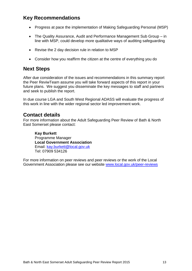## **Key Recommendations**

- Progress at pace the implementation of Making Safeguarding Personal (MSP)
- The Quality Assurance, Audit and Performance Management Sub Group in line with MSP, could develop more qualitative ways of auditing safeguarding
- Revise the 2 day decision rule in relation to MSP
- Consider how you reaffirm the citizen at the centre of everything you do

#### **Next Steps**

After due consideration of the issues and recommendations in this summary report the Peer ReviwTeam assume you will take forward aspects of this report in your future plans. We suggest you disseminate the key messages to staff and partners and seek to publish the report.

In due course LGA and South West Regional ADASS will evaluate the progress of this work in line with the wider regional sector led improvement work.

### **Contact details**

For more information about the Adult Safeguarding Peer Review of Bath & North East Somerset please contact:

#### **Kay Burkett**

Programme Manager **Local Government Association** Email: [kay.burkett@local.gov.uk](mailto:kay.burkett@local.gov.uk) Tel: 07909 534126

For more information on peer reviews and peer reviews or the work of the Local Government Association please see our website [www.local.gov.uk/peer-reviews](http://www.local.gov.uk/peer-challenges)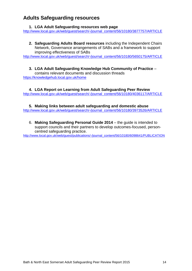## **Adults Safeguarding resources**

#### **1. LGA Adult Safeguarding resources web page**

[http://www.local.gov.uk/web/guest/search/-/journal\\_content/56/10180/3877757/ARTICLE](http://www.local.gov.uk/web/guest/search/-/journal_content/56/10180/3877757/ARTICLE)

**2. Safeguarding Adults Board resources** including the Independent Chairs Network, Governance arrangements of SABs and a framework to support improving effectiveness of SABs

[http://www.local.gov.uk/web/guest/search/-/journal\\_content/56/10180/5650175/ARTICLE](http://www.local.gov.uk/web/guest/search/-/journal_content/56/10180/5650175/ARTICLE)

**3. LGA Adult Safeguarding Knowledge Hub Community of Practice** – contains relevant documents and discussion threads <https://knowledgehub.local.gov.uk/home>

**4. LGA Report on Learning from Adult Safeguarding Peer Review** [http://www.local.gov.uk/web/guest/search/-/journal\\_content/56/10180/4036117/ARTICLE](http://www.local.gov.uk/web/guest/search/-/journal_content/56/10180/4036117/ARTICLE)

**5. Making links between adult safeguarding and domestic abuse** [http://www.local.gov.uk/web/guest/search/-/journal\\_content/56/10180/3973526/ARTICLE](http://www.local.gov.uk/web/guest/search/-/journal_content/56/10180/3973526/ARTICLE)

6. **Making Safeguarding Personal Guide 2014** – the guide is intended to support councils and their partners to develop outcomes-focused, personcentred safeguarding practice.

[http://www.local.gov.uk/web/guest/publications/-/journal\\_content/56/10180/6098641/PUBLICATION](http://www.local.gov.uk/web/guest/publications/-/journal_content/56/10180/6098641/PUBLICATION)